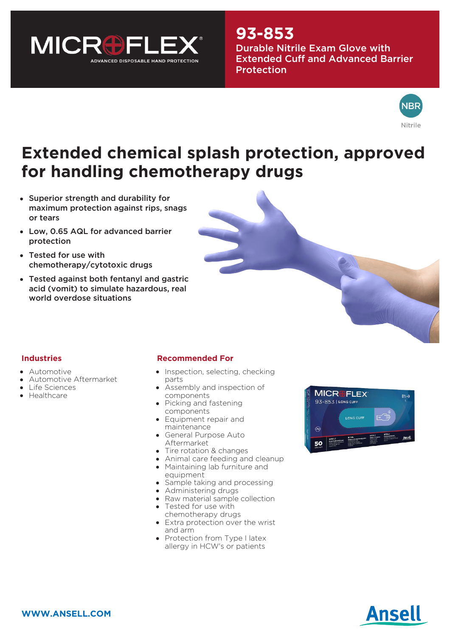

## **93-853**

Durable Nitrile Exam Glove with Extended Cuff and Advanced Barrier **Protection** 



# **Extended chemical splash protection, approved for handling chemotherapy drugs**

- Superior strength and durability for maximum protection against rips, snags or tears
- Low, 0.65 AQL for advanced barrier protection
- Tested for use with chemotherapy/cytotoxic drugs
- Tested against both fentanyl and gastric acid (vomit) to simulate hazardous, real world overdose situations



#### **Industries**

- Automotive
- Automotive Aftermarket
- Life Sciences
- Healthcare

#### **Recommended For**

- Inspection, selecting, checking parts
- Assembly and inspection of components
- Picking and fastening components
- Equipment repair and maintenance
- General Purpose Auto Aftermarket
- Tire rotation & changes
- Animal care feeding and cleanup Maintaining lab furniture and
- equipment
- Sample taking and processing
- Administering drugs
- Raw material sample collection
- Tested for use with chemotherapy drugs
- Extra protection over the wrist and arm
- Protection from Type I latex allergy in HCW's or patients